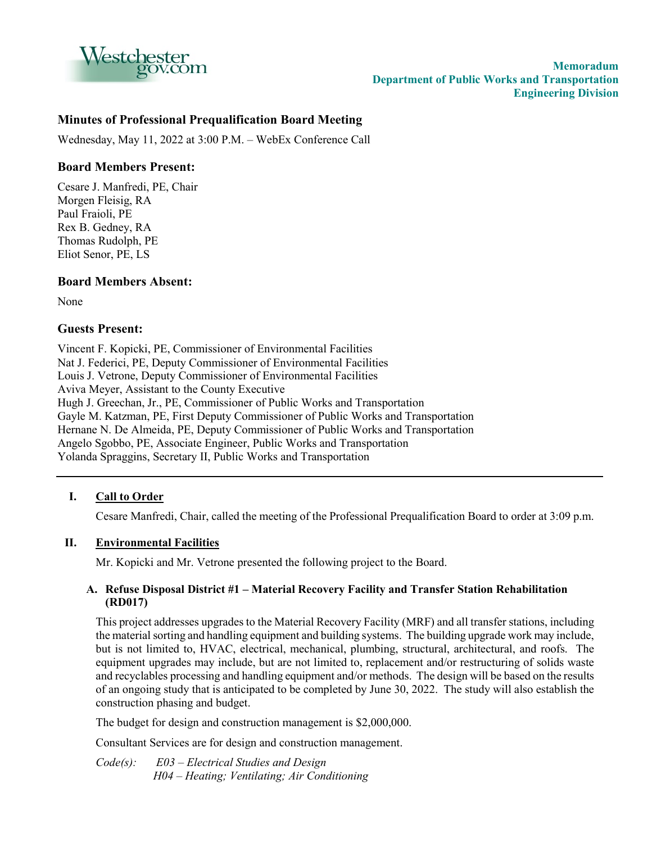

# **Minutes of Professional Prequalification Board Meeting**

Wednesday, May 11, 2022 at 3:00 P.M. – WebEx Conference Call

# **Board Members Present:**

Cesare J. Manfredi, PE, Chair Morgen Fleisig, RA Paul Fraioli, PE Rex B. Gedney, RA Thomas Rudolph, PE Eliot Senor, PE, LS

# **Board Members Absent:**

None

### **Guests Present:**

Vincent F. Kopicki, PE, Commissioner of Environmental Facilities Nat J. Federici, PE, Deputy Commissioner of Environmental Facilities Louis J. Vetrone, Deputy Commissioner of Environmental Facilities Aviva Meyer, Assistant to the County Executive Hugh J. Greechan, Jr., PE, Commissioner of Public Works and Transportation Gayle M. Katzman, PE, First Deputy Commissioner of Public Works and Transportation Hernane N. De Almeida, PE, Deputy Commissioner of Public Works and Transportation Angelo Sgobbo, PE, Associate Engineer, Public Works and Transportation Yolanda Spraggins, Secretary II, Public Works and Transportation

### **I. Call to Order**

Cesare Manfredi, Chair, called the meeting of the Professional Prequalification Board to order at 3:09 p.m.

### **II. Environmental Facilities**

Mr. Kopicki and Mr. Vetrone presented the following project to the Board.

### **A. Refuse Disposal District #1 – Material Recovery Facility and Transfer Station Rehabilitation (RD017)**

This project addresses upgrades to the Material Recovery Facility (MRF) and all transfer stations, including the material sorting and handling equipment and building systems. The building upgrade work may include, but is not limited to, HVAC, electrical, mechanical, plumbing, structural, architectural, and roofs. The equipment upgrades may include, but are not limited to, replacement and/or restructuring of solids waste and recyclables processing and handling equipment and/or methods. The design will be based on the results of an ongoing study that is anticipated to be completed by June 30, 2022. The study will also establish the construction phasing and budget.

The budget for design and construction management is \$2,000,000.

Consultant Services are for design and construction management.

*Code(s): E03 – Electrical Studies and Design H04 – Heating; Ventilating; Air Conditioning*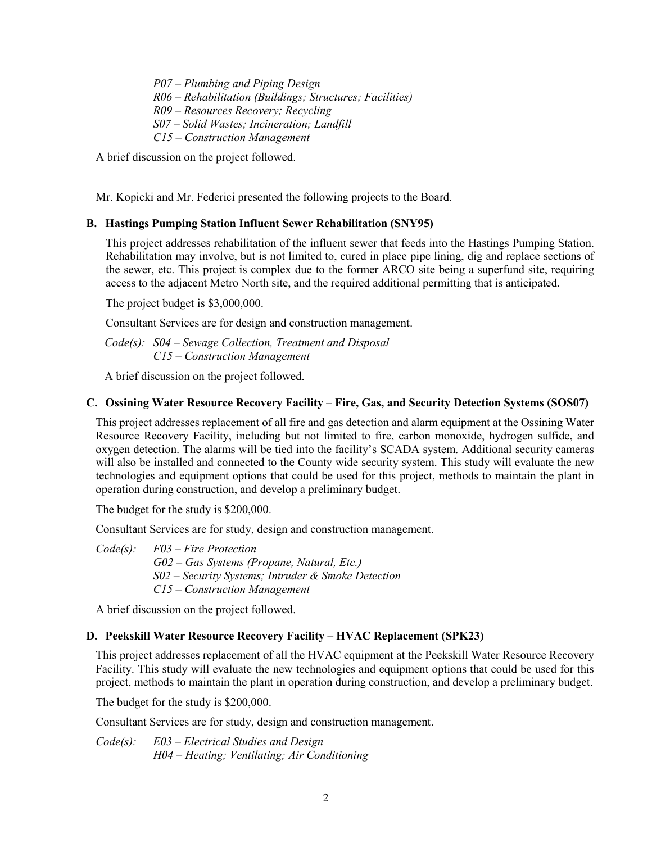*P07 – Plumbing and Piping Design R06 – Rehabilitation (Buildings; Structures; Facilities) R09 – Resources Recovery; Recycling S07 – Solid Wastes; Incineration; Landfill C15 – Construction Management*

A brief discussion on the project followed.

Mr. Kopicki and Mr. Federici presented the following projects to the Board.

# **B. Hastings Pumping Station Influent Sewer Rehabilitation (SNY95)**

This project addresses rehabilitation of the influent sewer that feeds into the Hastings Pumping Station. Rehabilitation may involve, but is not limited to, cured in place pipe lining, dig and replace sections of the sewer, etc. This project is complex due to the former ARCO site being a superfund site, requiring access to the adjacent Metro North site, and the required additional permitting that is anticipated.

The project budget is \$3,000,000.

Consultant Services are for design and construction management.

 *Code(s): S04 – Sewage Collection, Treatment and Disposal C15 – Construction Management*

A brief discussion on the project followed.

# **C. Ossining Water Resource Recovery Facility – Fire, Gas, and Security Detection Systems (SOS07)**

This project addresses replacement of all fire and gas detection and alarm equipment at the Ossining Water Resource Recovery Facility, including but not limited to fire, carbon monoxide, hydrogen sulfide, and oxygen detection. The alarms will be tied into the facility's SCADA system. Additional security cameras will also be installed and connected to the County wide security system. This study will evaluate the new technologies and equipment options that could be used for this project, methods to maintain the plant in operation during construction, and develop a preliminary budget.

The budget for the study is \$200,000.

Consultant Services are for study, design and construction management.

| Code(s): | F03 – Fire Protection                                |
|----------|------------------------------------------------------|
|          | $G02 - Gas$ Systems (Propane, Natural, Etc.)         |
|          | $S02$ – Security Systems; Intruder & Smoke Detection |
|          | $C15$ – Construction Management                      |

A brief discussion on the project followed.

### **D. Peekskill Water Resource Recovery Facility – HVAC Replacement (SPK23)**

This project addresses replacement of all the HVAC equipment at the Peekskill Water Resource Recovery Facility. This study will evaluate the new technologies and equipment options that could be used for this project, methods to maintain the plant in operation during construction, and develop a preliminary budget.

The budget for the study is \$200,000.

Consultant Services are for study, design and construction management.

*Code(s): E03 – Electrical Studies and Design H04 – Heating; Ventilating; Air Conditioning*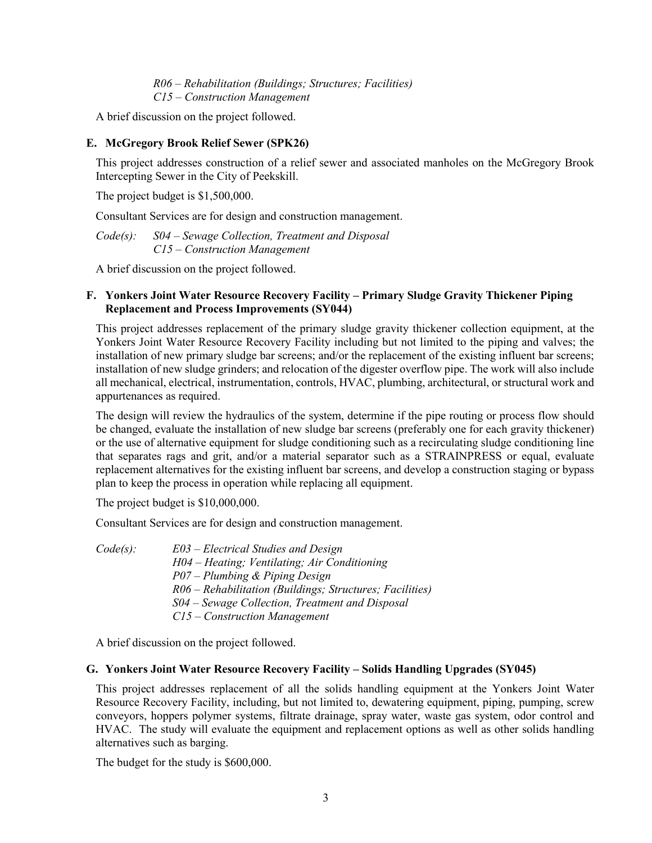*R06 – Rehabilitation (Buildings; Structures; Facilities) C15 – Construction Management*

A brief discussion on the project followed.

# **E. McGregory Brook Relief Sewer (SPK26)**

This project addresses construction of a relief sewer and associated manholes on the McGregory Brook Intercepting Sewer in the City of Peekskill.

The project budget is \$1,500,000.

Consultant Services are for design and construction management.

*Code(s): S04 – Sewage Collection, Treatment and Disposal C15 – Construction Management*

A brief discussion on the project followed.

### **F. Yonkers Joint Water Resource Recovery Facility – Primary Sludge Gravity Thickener Piping Replacement and Process Improvements (SY044)**

This project addresses replacement of the primary sludge gravity thickener collection equipment, at the Yonkers Joint Water Resource Recovery Facility including but not limited to the piping and valves; the installation of new primary sludge bar screens; and/or the replacement of the existing influent bar screens; installation of new sludge grinders; and relocation of the digester overflow pipe. The work will also include all mechanical, electrical, instrumentation, controls, HVAC, plumbing, architectural, or structural work and appurtenances as required.

The design will review the hydraulics of the system, determine if the pipe routing or process flow should be changed, evaluate the installation of new sludge bar screens (preferably one for each gravity thickener) or the use of alternative equipment for sludge conditioning such as a recirculating sludge conditioning line that separates rags and grit, and/or a material separator such as a STRAINPRESS or equal, evaluate replacement alternatives for the existing influent bar screens, and develop a construction staging or bypass plan to keep the process in operation while replacing all equipment.

The project budget is \$10,000,000.

Consultant Services are for design and construction management.

| Code(s): | $E03$ – Electrical Studies and Design                    |
|----------|----------------------------------------------------------|
|          | H04 - Heating; Ventilating; Air Conditioning             |
|          | $P07 - Plumbing \& Piping Design$                        |
|          | R06 – Rehabilitation (Buildings; Structures; Facilities) |
|          | S04 – Sewage Collection, Treatment and Disposal          |
|          | $C15$ – Construction Management                          |

A brief discussion on the project followed.

### **G. Yonkers Joint Water Resource Recovery Facility – Solids Handling Upgrades (SY045)**

This project addresses replacement of all the solids handling equipment at the Yonkers Joint Water Resource Recovery Facility, including, but not limited to, dewatering equipment, piping, pumping, screw conveyors, hoppers polymer systems, filtrate drainage, spray water, waste gas system, odor control and HVAC. The study will evaluate the equipment and replacement options as well as other solids handling alternatives such as barging.

The budget for the study is \$600,000.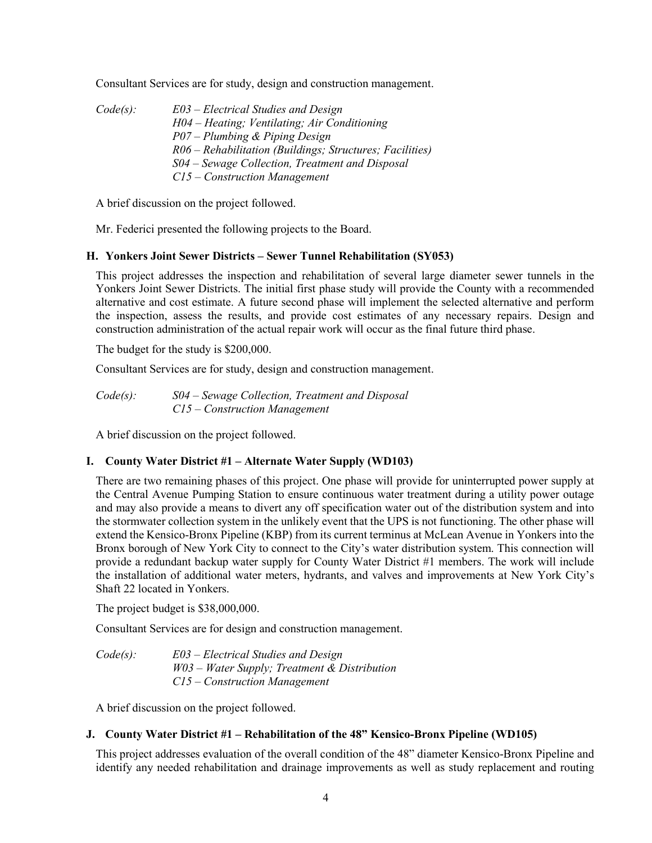Consultant Services are for study, design and construction management.

*Code(s): E03 – Electrical Studies and Design H04 – Heating; Ventilating; Air Conditioning P07 – Plumbing & Piping Design R06 – Rehabilitation (Buildings; Structures; Facilities) S04 – Sewage Collection, Treatment and Disposal C15 – Construction Management*

A brief discussion on the project followed.

Mr. Federici presented the following projects to the Board.

#### **H. Yonkers Joint Sewer Districts – Sewer Tunnel Rehabilitation (SY053)**

This project addresses the inspection and rehabilitation of several large diameter sewer tunnels in the Yonkers Joint Sewer Districts. The initial first phase study will provide the County with a recommended alternative and cost estimate. A future second phase will implement the selected alternative and perform the inspection, assess the results, and provide cost estimates of any necessary repairs. Design and construction administration of the actual repair work will occur as the final future third phase.

The budget for the study is \$200,000.

Consultant Services are for study, design and construction management.

*Code(s): S04 – Sewage Collection, Treatment and Disposal C15 – Construction Management*

A brief discussion on the project followed.

### **I. County Water District #1 – Alternate Water Supply (WD103)**

There are two remaining phases of this project. One phase will provide for uninterrupted power supply at the Central Avenue Pumping Station to ensure continuous water treatment during a utility power outage and may also provide a means to divert any off specification water out of the distribution system and into the stormwater collection system in the unlikely event that the UPS is not functioning. The other phase will extend the Kensico-Bronx Pipeline (KBP) from its current terminus at McLean Avenue in Yonkers into the Bronx borough of New York City to connect to the City's water distribution system. This connection will provide a redundant backup water supply for County Water District #1 members. The work will include the installation of additional water meters, hydrants, and valves and improvements at New York City's Shaft 22 located in Yonkers.

The project budget is \$38,000,000.

Consultant Services are for design and construction management.

*Code(s): E03 – Electrical Studies and Design W03 – Water Supply; Treatment & Distribution C15 – Construction Management*

A brief discussion on the project followed.

# **J. County Water District #1 – Rehabilitation of the 48" Kensico-Bronx Pipeline (WD105)**

This project addresses evaluation of the overall condition of the 48" diameter Kensico-Bronx Pipeline and identify any needed rehabilitation and drainage improvements as well as study replacement and routing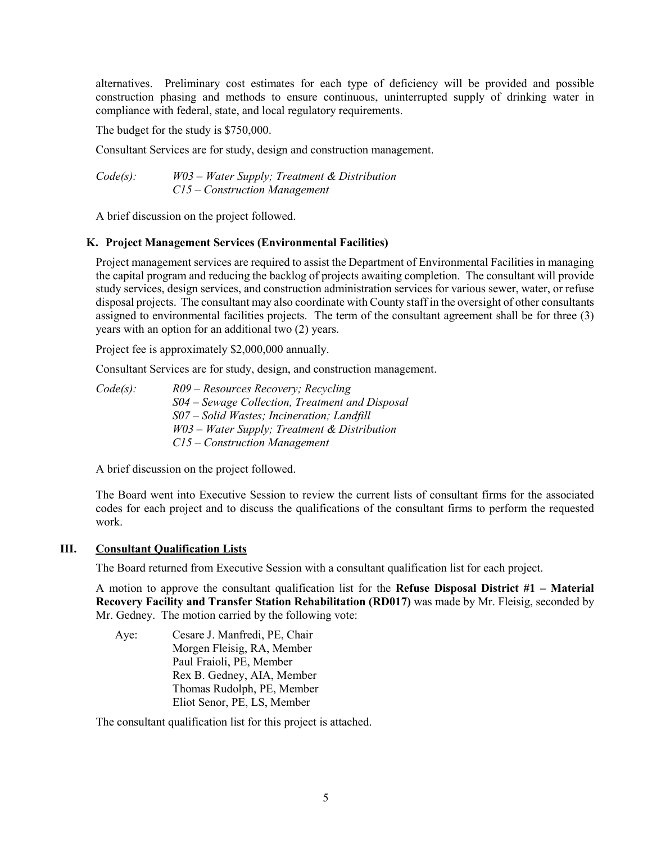alternatives. Preliminary cost estimates for each type of deficiency will be provided and possible construction phasing and methods to ensure continuous, uninterrupted supply of drinking water in compliance with federal, state, and local regulatory requirements.

The budget for the study is \$750,000.

Consultant Services are for study, design and construction management.

*Code(s): W03 – Water Supply; Treatment & Distribution C15 – Construction Management* 

A brief discussion on the project followed.

#### **K. Project Management Services (Environmental Facilities)**

Project management services are required to assist the Department of Environmental Facilities in managing the capital program and reducing the backlog of projects awaiting completion. The consultant will provide study services, design services, and construction administration services for various sewer, water, or refuse disposal projects. The consultant may also coordinate with County staff in the oversight of other consultants assigned to environmental facilities projects. The term of the consultant agreement shall be for three (3) years with an option for an additional two (2) years.

Project fee is approximately \$2,000,000 annually.

Consultant Services are for study, design, and construction management.

*Code(s): R09 – Resources Recovery; Recycling S04 – Sewage Collection, Treatment and Disposal S07 – Solid Wastes; Incineration; Landfill W03 – Water Supply; Treatment & Distribution C15 – Construction Management* 

A brief discussion on the project followed.

The Board went into Executive Session to review the current lists of consultant firms for the associated codes for each project and to discuss the qualifications of the consultant firms to perform the requested work.

#### **III. Consultant Qualification Lists**

The Board returned from Executive Session with a consultant qualification list for each project.

A motion to approve the consultant qualification list for the **Refuse Disposal District #1 – Material Recovery Facility and Transfer Station Rehabilitation (RD017)** was made by Mr. Fleisig, seconded by Mr. Gedney. The motion carried by the following vote:

Aye: Cesare J. Manfredi, PE, Chair Morgen Fleisig, RA, Member Paul Fraioli, PE, Member Rex B. Gedney, AIA, Member Thomas Rudolph, PE, Member Eliot Senor, PE, LS, Member

The consultant qualification list for this project is attached.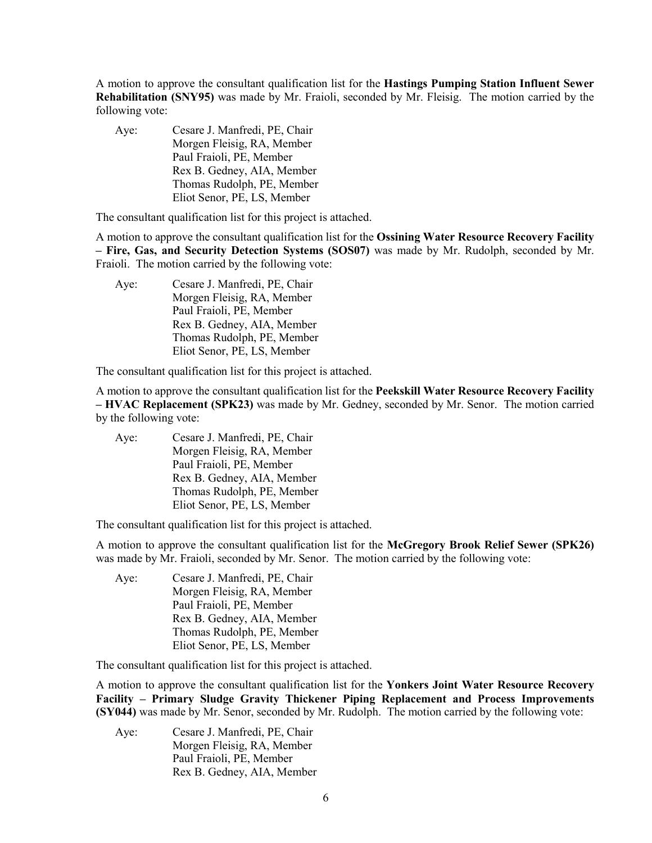A motion to approve the consultant qualification list for the **Hastings Pumping Station Influent Sewer Rehabilitation (SNY95)** was made by Mr. Fraioli, seconded by Mr. Fleisig. The motion carried by the following vote:

Aye: Cesare J. Manfredi, PE, Chair Morgen Fleisig, RA, Member Paul Fraioli, PE, Member Rex B. Gedney, AIA, Member Thomas Rudolph, PE, Member Eliot Senor, PE, LS, Member

The consultant qualification list for this project is attached.

A motion to approve the consultant qualification list for the **Ossining Water Resource Recovery Facility – Fire, Gas, and Security Detection Systems (SOS07)** was made by Mr. Rudolph, seconded by Mr. Fraioli. The motion carried by the following vote:

Aye: Cesare J. Manfredi, PE, Chair Morgen Fleisig, RA, Member Paul Fraioli, PE, Member Rex B. Gedney, AIA, Member Thomas Rudolph, PE, Member Eliot Senor, PE, LS, Member

The consultant qualification list for this project is attached.

A motion to approve the consultant qualification list for the **Peekskill Water Resource Recovery Facility – HVAC Replacement (SPK23)** was made by Mr. Gedney, seconded by Mr. Senor. The motion carried by the following vote:

| Aye: | Cesare J. Manfredi, PE, Chair |
|------|-------------------------------|
|      | Morgen Fleisig, RA, Member    |
|      | Paul Fraioli, PE, Member      |
|      | Rex B. Gedney, AIA, Member    |
|      | Thomas Rudolph, PE, Member    |
|      | Eliot Senor, PE, LS, Member   |

The consultant qualification list for this project is attached.

A motion to approve the consultant qualification list for the **McGregory Brook Relief Sewer (SPK26)** was made by Mr. Fraioli, seconded by Mr. Senor. The motion carried by the following vote:

Aye: Cesare J. Manfredi, PE, Chair Morgen Fleisig, RA, Member Paul Fraioli, PE, Member Rex B. Gedney, AIA, Member Thomas Rudolph, PE, Member Eliot Senor, PE, LS, Member

The consultant qualification list for this project is attached.

A motion to approve the consultant qualification list for the **Yonkers Joint Water Resource Recovery Facility – Primary Sludge Gravity Thickener Piping Replacement and Process Improvements (SY044)** was made by Mr. Senor, seconded by Mr. Rudolph. The motion carried by the following vote:

Aye: Cesare J. Manfredi, PE, Chair Morgen Fleisig, RA, Member Paul Fraioli, PE, Member Rex B. Gedney, AIA, Member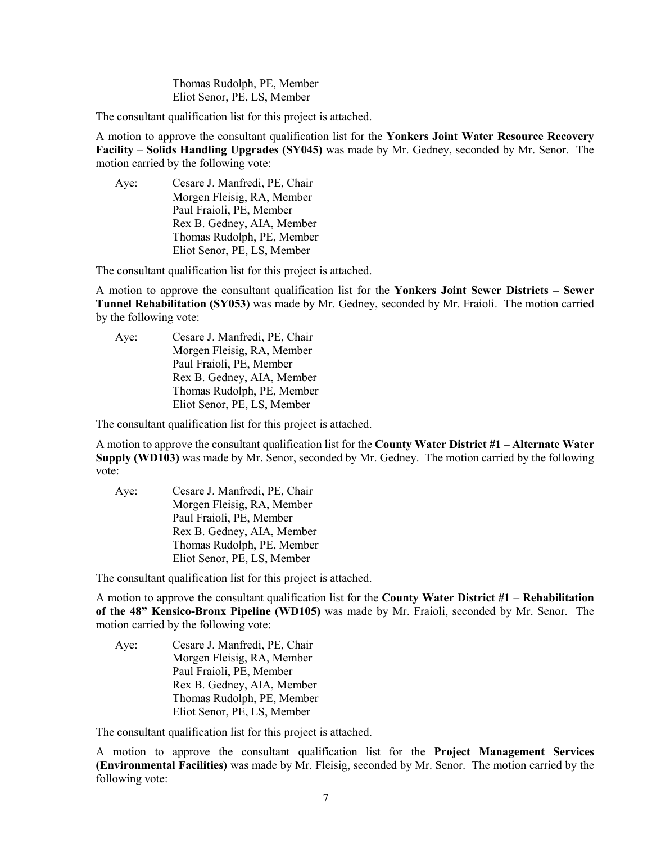Thomas Rudolph, PE, Member Eliot Senor, PE, LS, Member

The consultant qualification list for this project is attached.

A motion to approve the consultant qualification list for the **Yonkers Joint Water Resource Recovery Facility – Solids Handling Upgrades (SY045)** was made by Mr. Gedney, seconded by Mr. Senor. The motion carried by the following vote:

Aye: Cesare J. Manfredi, PE, Chair Morgen Fleisig, RA, Member Paul Fraioli, PE, Member Rex B. Gedney, AIA, Member Thomas Rudolph, PE, Member Eliot Senor, PE, LS, Member

The consultant qualification list for this project is attached.

A motion to approve the consultant qualification list for the **Yonkers Joint Sewer Districts – Sewer Tunnel Rehabilitation (SY053)** was made by Mr. Gedney, seconded by Mr. Fraioli. The motion carried by the following vote:

Aye: Cesare J. Manfredi, PE, Chair Morgen Fleisig, RA, Member Paul Fraioli, PE, Member Rex B. Gedney, AIA, Member Thomas Rudolph, PE, Member Eliot Senor, PE, LS, Member

The consultant qualification list for this project is attached.

A motion to approve the consultant qualification list for the **County Water District #1 – Alternate Water Supply (WD103)** was made by Mr. Senor, seconded by Mr. Gedney. The motion carried by the following vote:

Aye: Cesare J. Manfredi, PE, Chair Morgen Fleisig, RA, Member Paul Fraioli, PE, Member Rex B. Gedney, AIA, Member Thomas Rudolph, PE, Member Eliot Senor, PE, LS, Member

The consultant qualification list for this project is attached.

A motion to approve the consultant qualification list for the **County Water District #1 – Rehabilitation of the 48" Kensico-Bronx Pipeline (WD105)** was made by Mr. Fraioli, seconded by Mr. Senor. The motion carried by the following vote:

Aye: Cesare J. Manfredi, PE, Chair Morgen Fleisig, RA, Member Paul Fraioli, PE, Member Rex B. Gedney, AIA, Member Thomas Rudolph, PE, Member Eliot Senor, PE, LS, Member

The consultant qualification list for this project is attached.

A motion to approve the consultant qualification list for the **Project Management Services (Environmental Facilities)** was made by Mr. Fleisig, seconded by Mr. Senor. The motion carried by the following vote: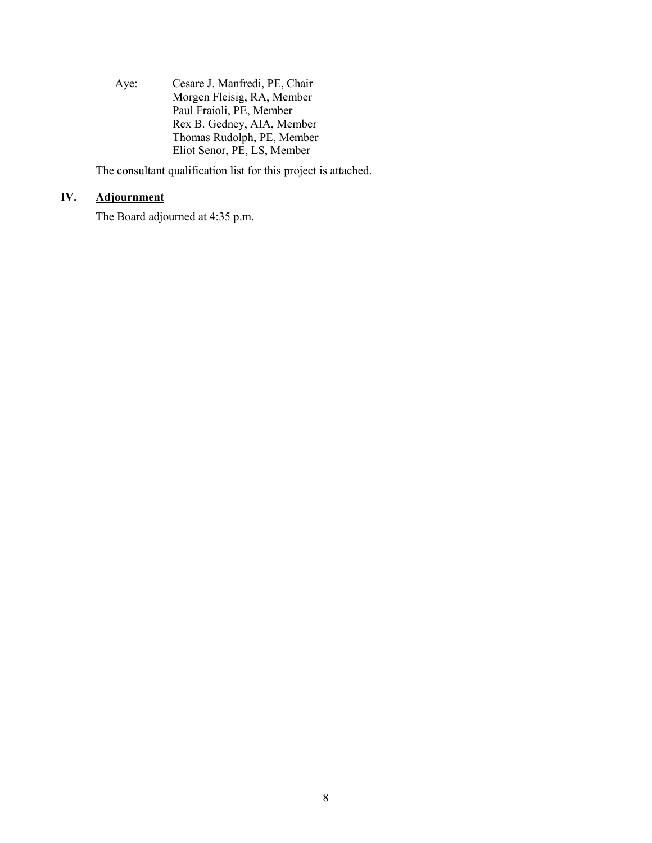Aye: Cesare J. Manfredi, PE, Chair Morgen Fleisig, RA, Member Paul Fraioli, PE, Member Rex B. Gedney, AIA, Member Thomas Rudolph, PE, Member Eliot Senor, PE, LS, Member

The consultant qualification list for this project is attached.

# **IV. Adjournment**

The Board adjourned at 4:35 p.m.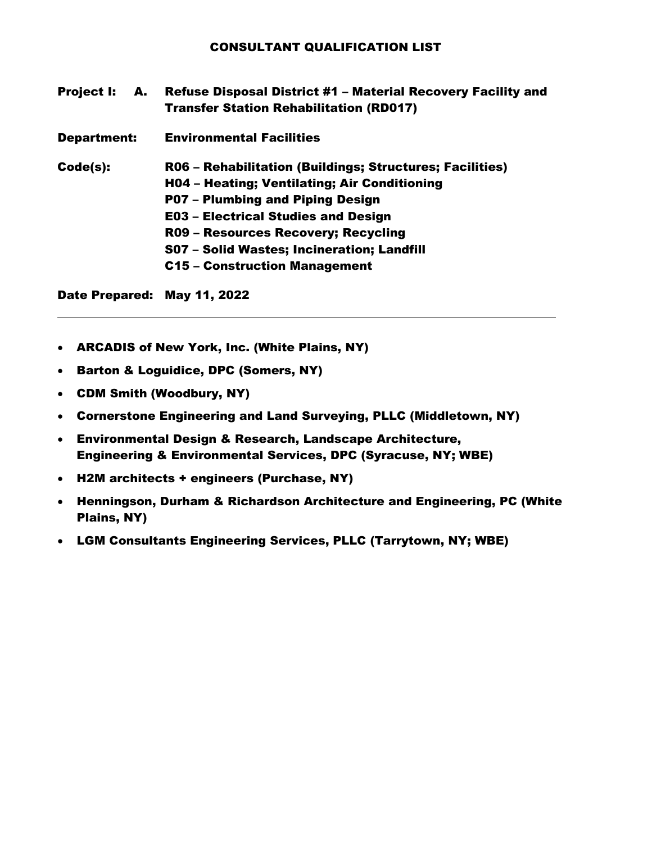| <b>Project I:</b>  | <b>A.</b> | <b>Refuse Disposal District #1 - Material Recovery Facility and</b><br><b>Transfer Station Rehabilitation (RD017)</b> |
|--------------------|-----------|-----------------------------------------------------------------------------------------------------------------------|
| <b>Department:</b> |           | <b>Environmental Facilities</b>                                                                                       |
| Code(s):           |           | R06 - Rehabilitation (Buildings; Structures; Facilities)                                                              |
|                    |           | H04 - Heating; Ventilating; Air Conditioning                                                                          |
|                    |           | P07 - Plumbing and Piping Design                                                                                      |
|                    |           | <b>E03 - Electrical Studies and Design</b>                                                                            |
|                    |           | R09 - Resources Recovery; Recycling                                                                                   |
|                    |           | S07 - Solid Wastes; Incineration; Landfill                                                                            |
|                    |           | <b>C15 - Construction Management</b>                                                                                  |
|                    |           |                                                                                                                       |

- ARCADIS of New York, Inc. (White Plains, NY)
- Barton & Loguidice, DPC (Somers, NY)
- CDM Smith (Woodbury, NY)
- Cornerstone Engineering and Land Surveying, PLLC (Middletown, NY)
- Environmental Design & Research, Landscape Architecture, Engineering & Environmental Services, DPC (Syracuse, NY; WBE)
- H2M architects + engineers (Purchase, NY)
- Henningson, Durham & Richardson Architecture and Engineering, PC (White Plains, NY)
- LGM Consultants Engineering Services, PLLC (Tarrytown, NY; WBE)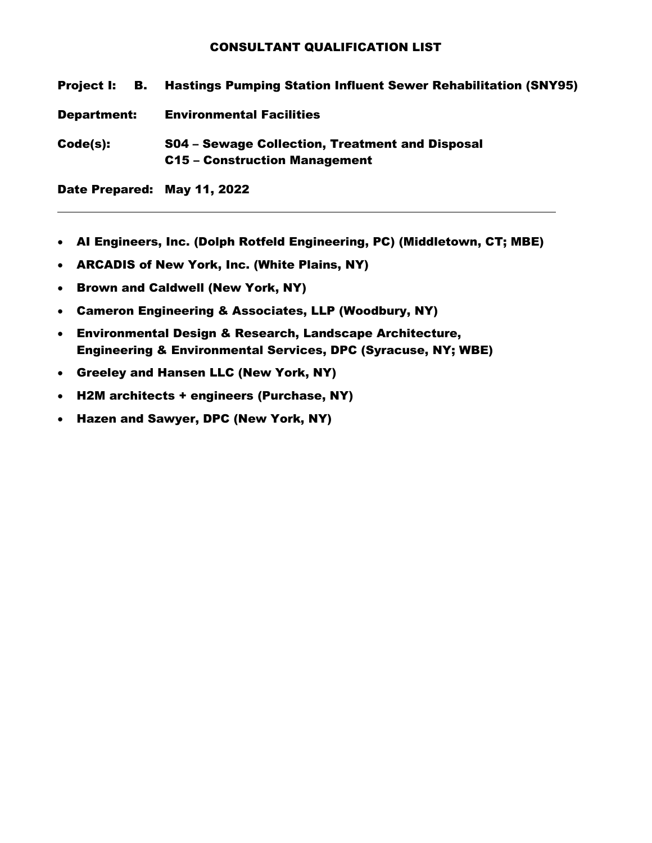| Project I: B.      | <b>Hastings Pumping Station Influent Sewer Rehabilitation (SNY95)</b>            |
|--------------------|----------------------------------------------------------------------------------|
| <b>Department:</b> | <b>Environmental Facilities</b>                                                  |
| Code(s):           | S04 – Sewage Collection, Treatment and Disposal<br>C15 - Construction Management |

- AI Engineers, Inc. (Dolph Rotfeld Engineering, PC) (Middletown, CT; MBE)
- ARCADIS of New York, Inc. (White Plains, NY)
- Brown and Caldwell (New York, NY)
- Cameron Engineering & Associates, LLP (Woodbury, NY)
- Environmental Design & Research, Landscape Architecture, Engineering & Environmental Services, DPC (Syracuse, NY; WBE)
- Greeley and Hansen LLC (New York, NY)
- H2M architects + engineers (Purchase, NY)
- Hazen and Sawyer, DPC (New York, NY)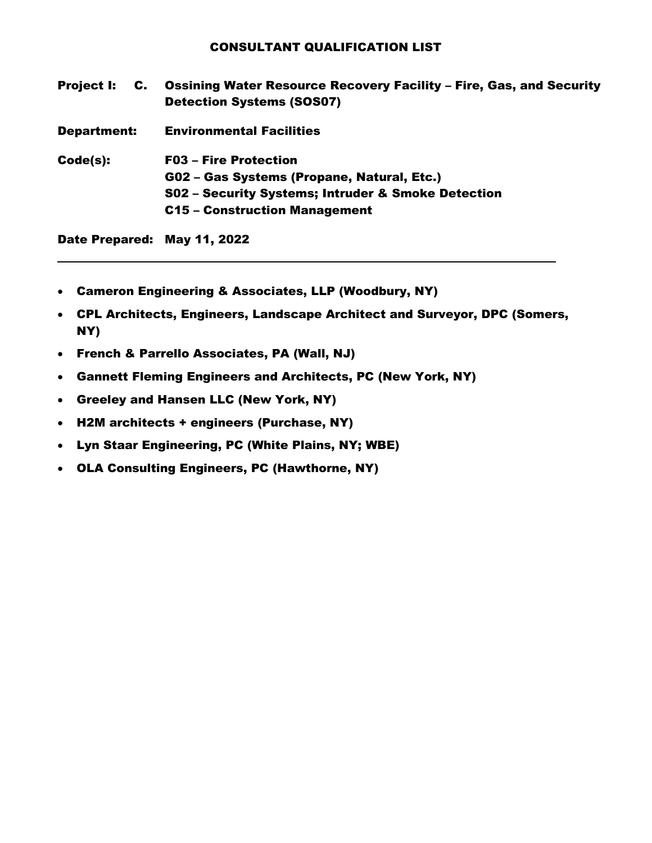Project I: C. Ossining Water Resource Recovery Facility – Fire, Gas, and Security Detection Systems (SOS07) Department: Environmental Facilities Code(s): F03 – Fire Protection G02 – Gas Systems (Propane, Natural, Etc.) S02 – Security Systems; Intruder & Smoke Detection C15 – Construction Management Date Prepared: May 11, 2022

• Cameron Engineering & Associates, LLP (Woodbury, NY)

- CPL Architects, Engineers, Landscape Architect and Surveyor, DPC (Somers, NY)
- French & Parrello Associates, PA (Wall, NJ)
- Gannett Fleming Engineers and Architects, PC (New York, NY)
- Greeley and Hansen LLC (New York, NY)
- H2M architects + engineers (Purchase, NY)
- Lyn Staar Engineering, PC (White Plains, NY; WBE)
- OLA Consulting Engineers, PC (Hawthorne, NY)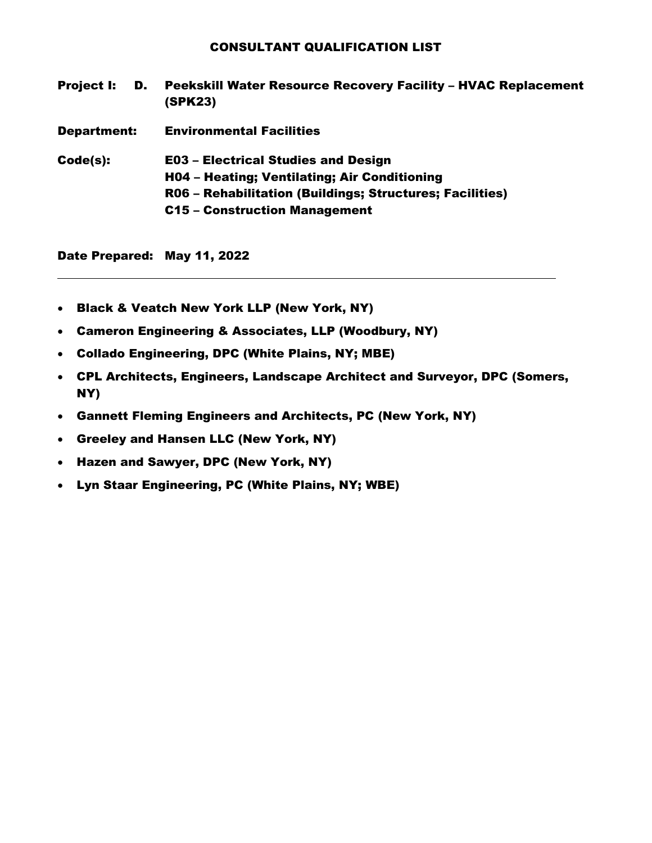Project I: D. Peekskill Water Resource Recovery Facility – HVAC Replacement (SPK23) Department: Environmental Facilities Code(s): E03 – Electrical Studies and Design H04 – Heating; Ventilating; Air Conditioning R06 – Rehabilitation (Buildings; Structures; Facilities) C15 – Construction Management

- Black & Veatch New York LLP (New York, NY)
- Cameron Engineering & Associates, LLP (Woodbury, NY)
- Collado Engineering, DPC (White Plains, NY; MBE)
- CPL Architects, Engineers, Landscape Architect and Surveyor, DPC (Somers, NY)
- Gannett Fleming Engineers and Architects, PC (New York, NY)
- Greeley and Hansen LLC (New York, NY)
- Hazen and Sawyer, DPC (New York, NY)
- Lyn Staar Engineering, PC (White Plains, NY; WBE)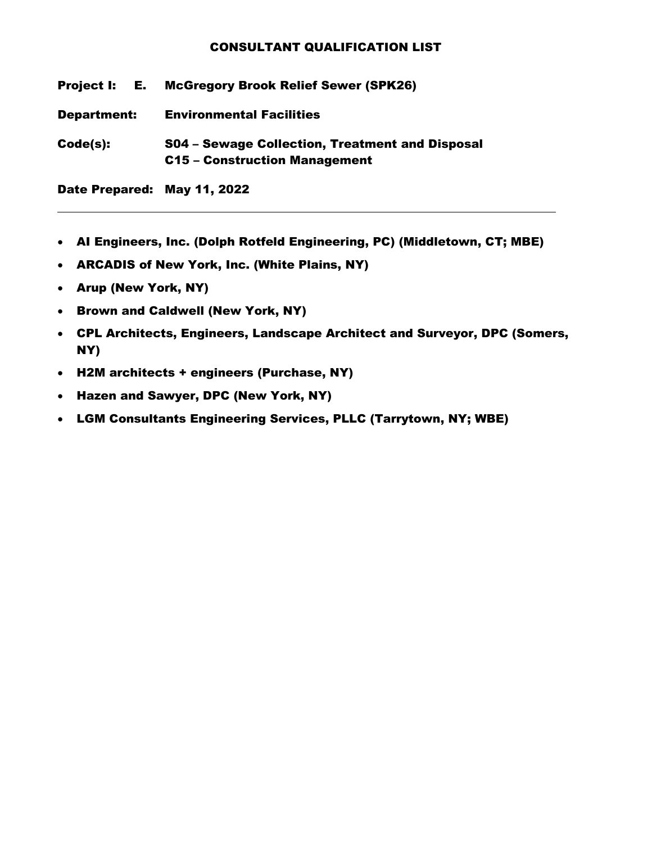Project I: E. McGregory Brook Relief Sewer (SPK26)

Department: Environmental Facilities

Code(s): S04 – Sewage Collection, Treatment and Disposal C15 – Construction Management

- AI Engineers, Inc. (Dolph Rotfeld Engineering, PC) (Middletown, CT; MBE)
- ARCADIS of New York, Inc. (White Plains, NY)
- Arup (New York, NY)
- Brown and Caldwell (New York, NY)
- CPL Architects, Engineers, Landscape Architect and Surveyor, DPC (Somers, NY)
- H2M architects + engineers (Purchase, NY)
- Hazen and Sawyer, DPC (New York, NY)
- LGM Consultants Engineering Services, PLLC (Tarrytown, NY; WBE)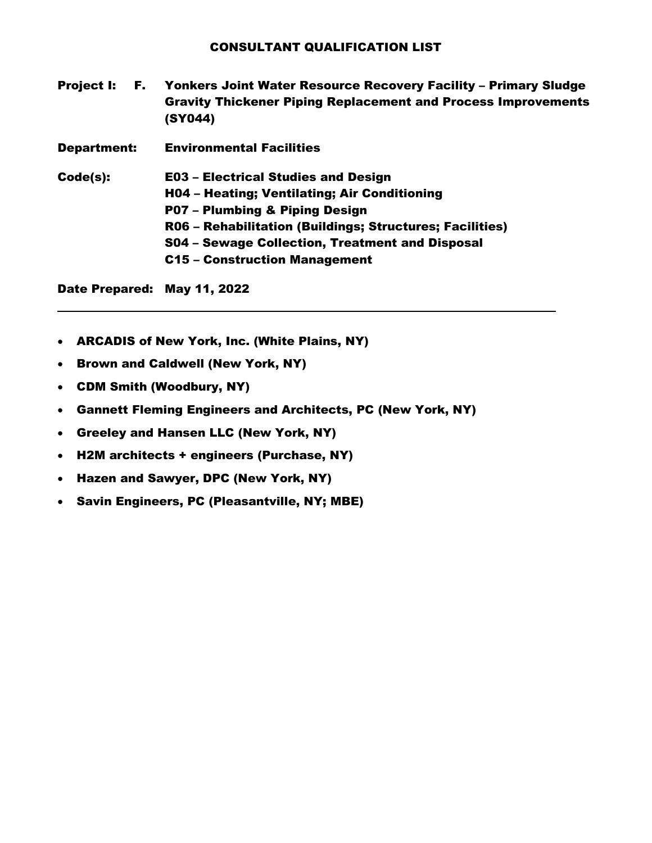- Project I: F. Yonkers Joint Water Resource Recovery Facility Primary Sludge Gravity Thickener Piping Replacement and Process Improvements (SY044)
- Department: Environmental Facilities

Code(s): E03 – Electrical Studies and Design H04 – Heating; Ventilating; Air Conditioning P07 – Plumbing & Piping Design R06 – Rehabilitation (Buildings; Structures; Facilities) S04 – Sewage Collection, Treatment and Disposal C15 – Construction Management

- ARCADIS of New York, Inc. (White Plains, NY)
- Brown and Caldwell (New York, NY)
- CDM Smith (Woodbury, NY)
- Gannett Fleming Engineers and Architects, PC (New York, NY)
- Greeley and Hansen LLC (New York, NY)
- H2M architects + engineers (Purchase, NY)
- Hazen and Sawyer, DPC (New York, NY)
- Savin Engineers, PC (Pleasantville, NY; MBE)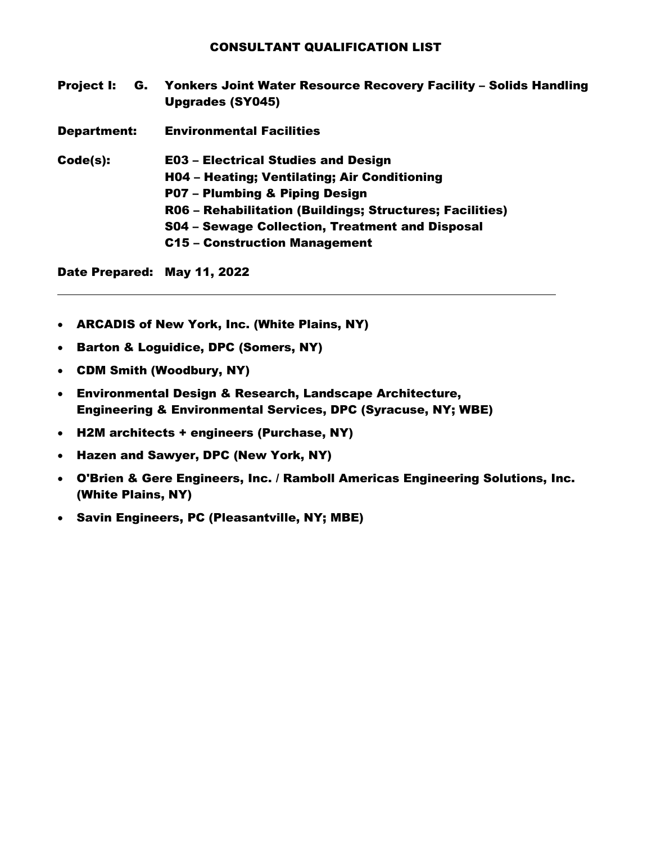- Project I: G. Yonkers Joint Water Resource Recovery Facility Solids Handling Upgrades (SY045)
- Department: Environmental Facilities

Code(s): E03 – Electrical Studies and Design

- H04 Heating; Ventilating; Air Conditioning
- P07 Plumbing & Piping Design
- R06 Rehabilitation (Buildings; Structures; Facilities)
- S04 Sewage Collection, Treatment and Disposal
- C15 Construction Management

- ARCADIS of New York, Inc. (White Plains, NY)
- Barton & Loguidice, DPC (Somers, NY)
- CDM Smith (Woodbury, NY)
- Environmental Design & Research, Landscape Architecture, Engineering & Environmental Services, DPC (Syracuse, NY; WBE)
- H2M architects + engineers (Purchase, NY)
- Hazen and Sawyer, DPC (New York, NY)
- O'Brien & Gere Engineers, Inc. / Ramboll Americas Engineering Solutions, Inc. (White Plains, NY)
- Savin Engineers, PC (Pleasantville, NY; MBE)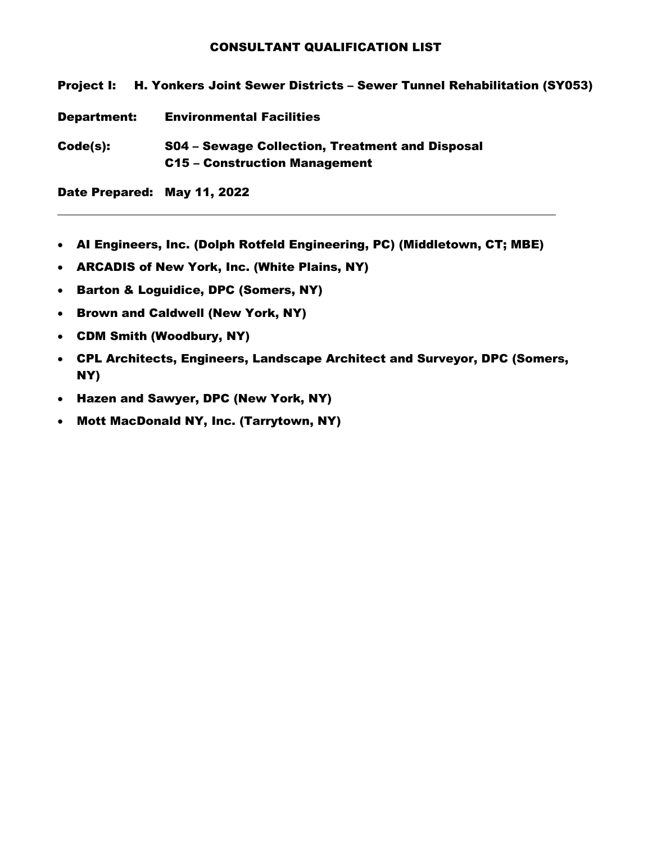Project I: H. Yonkers Joint Sewer Districts – Sewer Tunnel Rehabilitation (SY053) Department: Environmental Facilities Code(s): S04 – Sewage Collection, Treatment and Disposal C15 – Construction Management

- AI Engineers, Inc. (Dolph Rotfeld Engineering, PC) (Middletown, CT; MBE)
- ARCADIS of New York, Inc. (White Plains, NY)
- Barton & Loguidice, DPC (Somers, NY)
- Brown and Caldwell (New York, NY)
- CDM Smith (Woodbury, NY)
- CPL Architects, Engineers, Landscape Architect and Surveyor, DPC (Somers, NY)
- Hazen and Sawyer, DPC (New York, NY)
- Mott MacDonald NY, Inc. (Tarrytown, NY)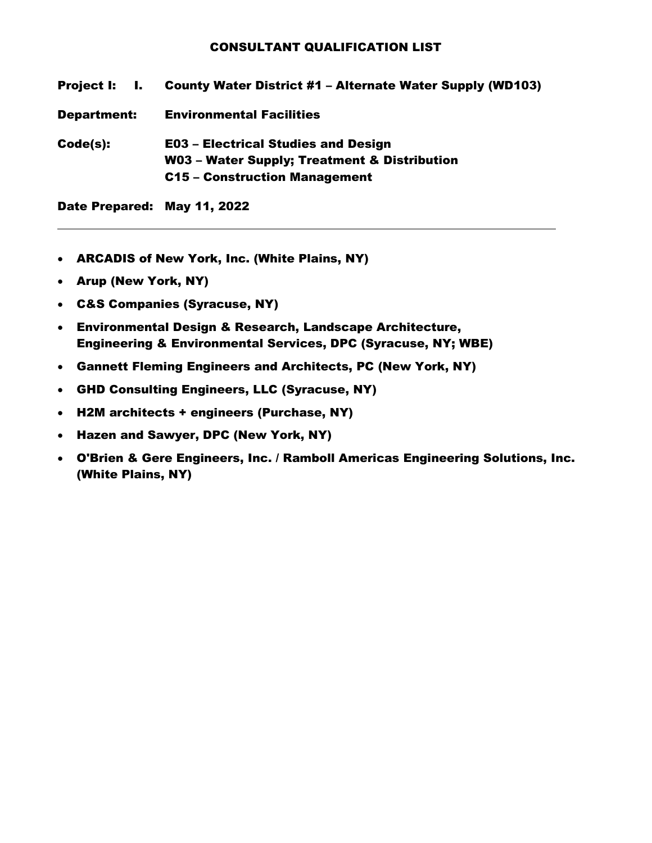| Project I:  | <b>County Water District #1 - Alternate Water Supply (WD103)</b> |
|-------------|------------------------------------------------------------------|
| Department: | <b>Environmental Facilities</b>                                  |
| Code(s):    | <b>E03 - Electrical Studies and Design</b>                       |
|             | W03 - Water Supply; Treatment & Distribution                     |
|             | C15 - Construction Management                                    |
|             |                                                                  |

- ARCADIS of New York, Inc. (White Plains, NY)
- Arup (New York, NY)
- C&S Companies (Syracuse, NY)
- Environmental Design & Research, Landscape Architecture, Engineering & Environmental Services, DPC (Syracuse, NY; WBE)
- Gannett Fleming Engineers and Architects, PC (New York, NY)
- GHD Consulting Engineers, LLC (Syracuse, NY)
- H2M architects + engineers (Purchase, NY)
- Hazen and Sawyer, DPC (New York, NY)
- O'Brien & Gere Engineers, Inc. / Ramboll Americas Engineering Solutions, Inc. (White Plains, NY)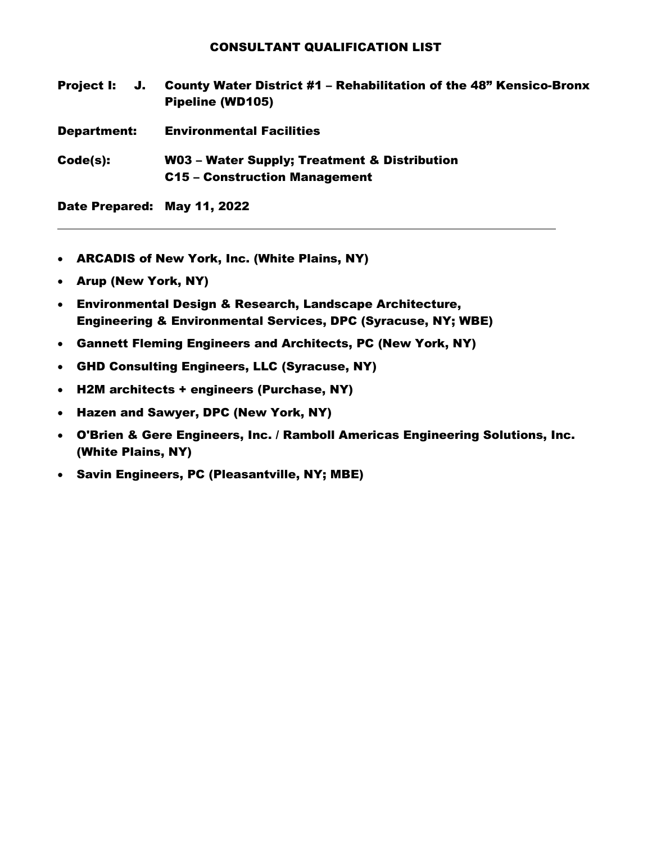| <b>Project I:</b><br>J.     | <b>County Water District #1 - Rehabilitation of the 48" Kensico-Bronx</b><br>Pipeline (WD105) |
|-----------------------------|-----------------------------------------------------------------------------------------------|
| <b>Department:</b>          | <b>Environmental Facilities</b>                                                               |
| Code(s):                    | W03 - Water Supply; Treatment & Distribution<br>C15 - Construction Management                 |
| Date Prepared: May 11, 2022 |                                                                                               |

- ARCADIS of New York, Inc. (White Plains, NY)
- Arup (New York, NY)
- Environmental Design & Research, Landscape Architecture, Engineering & Environmental Services, DPC (Syracuse, NY; WBE)
- Gannett Fleming Engineers and Architects, PC (New York, NY)
- GHD Consulting Engineers, LLC (Syracuse, NY)
- H2M architects + engineers (Purchase, NY)
- Hazen and Sawyer, DPC (New York, NY)
- O'Brien & Gere Engineers, Inc. / Ramboll Americas Engineering Solutions, Inc. (White Plains, NY)
- Savin Engineers, PC (Pleasantville, NY; MBE)